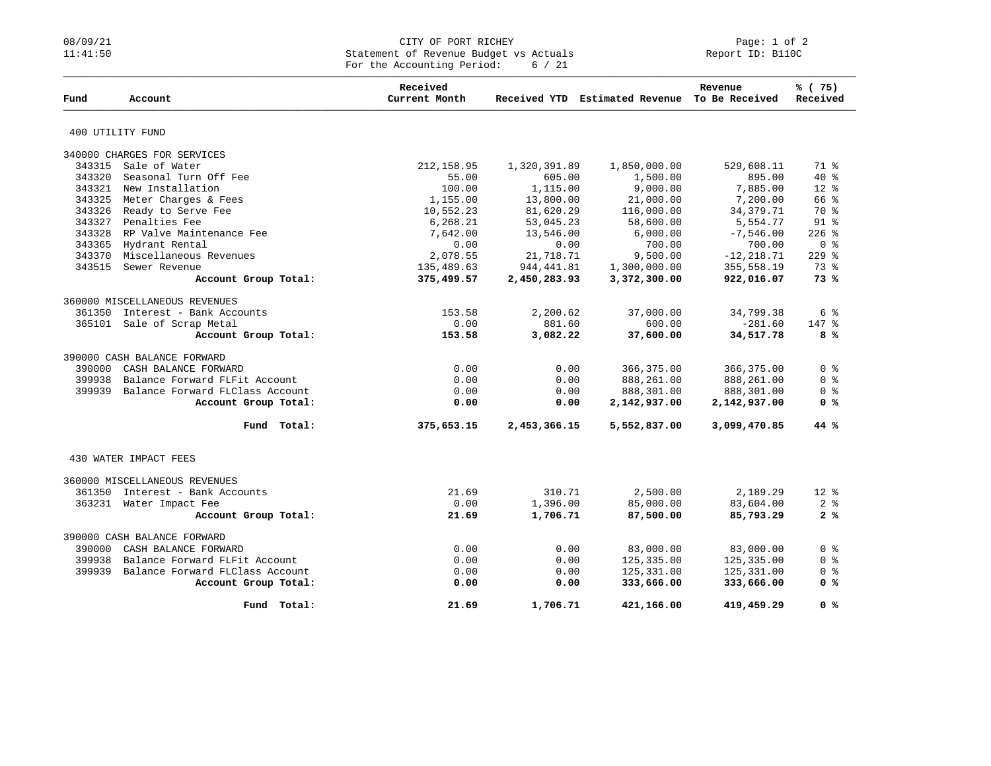## 08/09/21 CITY OF PORT RICHEY Page: 1 of 2 11:41:50 Statement of Revenue Budget vs Actuals Report ID: B110C For the Accounting Period:  $6 / 21$

| Fund   | Account                         | Received<br>Current Month |              | Received YTD Estimated Revenue To Be Received | Revenue       | % (75)<br>Received         |
|--------|---------------------------------|---------------------------|--------------|-----------------------------------------------|---------------|----------------------------|
|        |                                 |                           |              |                                               |               |                            |
|        | 400 UTILITY FUND                |                           |              |                                               |               |                            |
|        | 340000 CHARGES FOR SERVICES     |                           |              |                                               |               |                            |
| 343315 | Sale of Water                   | 212, 158.95               | 1,320,391.89 | 1,850,000.00                                  | 529,608.11    | 71.8                       |
| 343320 | Seasonal Turn Off Fee           | 55.00                     | 605.00       | 1,500.00                                      | 895.00        | $40*$                      |
| 343321 | New Installation                | 100.00                    | 1,115.00     | 9,000.00                                      | 7,885.00      | $12*$                      |
| 343325 | Meter Charges & Fees            | 1,155.00                  | 13,800.00    | 21,000.00                                     | 7,200.00      | 66 %                       |
| 343326 | Ready to Serve Fee              | 10,552.23                 | 81,620.29    | 116,000.00                                    | 34, 379. 71   | 70 %                       |
|        | 343327 Penalties Fee            | 6,268.21                  | 53,045.23    | 58,600.00                                     | 5,554.77      | $91$ %                     |
| 343328 | RP Valve Maintenance Fee        | 7,642.00                  | 13,546.00    | 6,000.00                                      | $-7,546.00$   | $226$ %                    |
|        | 343365 Hydrant Rental           | 0.00                      | 0.00         | 700.00                                        | 700.00        | 0 <sup>8</sup>             |
| 343370 | Miscellaneous Revenues          | 2,078.55                  | 21,718.71    | 9,500.00                                      | $-12, 218.71$ | $229$ $%$                  |
| 343515 | Sewer Revenue                   | 135,489.63                | 944, 441.81  | 1,300,000.00                                  | 355,558.19    | 73 %                       |
|        | Account Group Total:            | 375,499.57                | 2,450,283.93 | 3,372,300.00                                  | 922,016.07    | 73%                        |
|        | 360000 MISCELLANEOUS REVENUES   |                           |              |                                               |               |                            |
| 361350 | Interest - Bank Accounts        | 153.58                    | 2,200.62     | 37,000.00                                     | 34,799.38     | $6 \text{ }$ $\frac{6}{9}$ |
|        | 365101 Sale of Scrap Metal      | 0.00                      | 881.60       | 600.00                                        | $-281.60$     | 147 %                      |
|        | Account Group Total:            | 153.58                    | 3,082.22     | 37,600.00                                     | 34,517.78     | 8 %                        |
|        | 390000 CASH BALANCE FORWARD     |                           |              |                                               |               |                            |
| 390000 | CASH BALANCE FORWARD            | 0.00                      | 0.00         | 366,375.00                                    | 366,375.00    | 0 <sup>8</sup>             |
| 399938 | Balance Forward FLFit Account   | 0.00                      | 0.00         | 888,261.00                                    | 888,261.00    | 0 <sup>8</sup>             |
| 399939 | Balance Forward FLClass Account | 0.00                      | 0.00         | 888,301.00                                    | 888,301.00    | 0 <sup>8</sup>             |
|        | Account Group Total:            | 0.00                      | 0.00         | 2,142,937.00                                  | 2,142,937.00  | 0 <sup>8</sup>             |
|        |                                 |                           |              |                                               |               |                            |
|        | Fund Total:                     | 375,653.15                | 2,453,366.15 | 5,552,837.00                                  | 3,099,470.85  | 44%                        |
|        | 430 WATER IMPACT FEES           |                           |              |                                               |               |                            |
|        |                                 |                           |              |                                               |               |                            |
|        | 360000 MISCELLANEOUS REVENUES   |                           |              |                                               |               |                            |
| 361350 | Interest - Bank Accounts        | 21.69                     | 310.71       | 2,500.00                                      | 2,189.29      | $12*$                      |
|        | 363231 Water Impact Fee         | 0.00                      | 1,396.00     | 85,000.00                                     | 83,604.00     | 2 <sub>8</sub>             |
|        | Account Group Total:            | 21.69                     | 1,706.71     | 87,500.00                                     | 85,793.29     | 2%                         |
|        | 390000 CASH BALANCE FORWARD     |                           |              |                                               |               |                            |
| 390000 | CASH BALANCE FORWARD            | 0.00                      | 0.00         | 83,000.00                                     | 83,000.00     | 0 <sup>8</sup>             |
| 399938 | Balance Forward FLFit Account   | 0.00                      | 0.00         | 125,335.00                                    | 125,335.00    | 0 <sup>8</sup>             |
| 399939 | Balance Forward FLClass Account | 0.00                      | 0.00         | 125,331.00                                    | 125,331.00    | 0 <sup>8</sup>             |
|        | Account Group Total:            | 0.00                      | 0.00         | 333,666.00                                    | 333,666.00    | 0 <sup>8</sup>             |
|        | Fund Total:                     | 21.69                     | 1,706.71     | 421,166.00                                    | 419,459.29    | 0 <sup>8</sup>             |